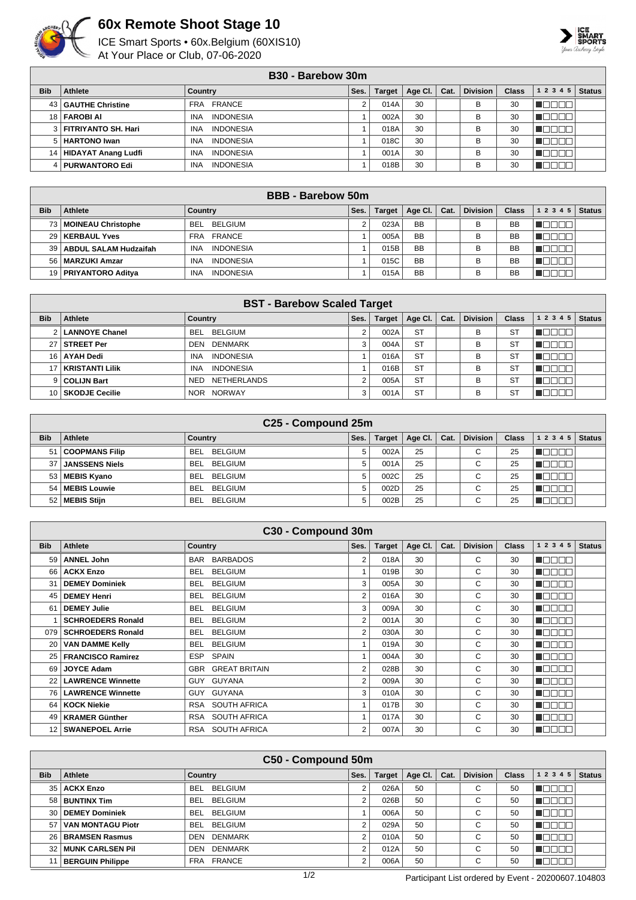

## **60x Remote Shoot Stage 10**

ICE Smart Sports • 60x.Belgium (60XIS10) At Your Place or Club, 07-06-2020



|            | B <sub>30</sub> - Barebow 30m |                                |      |               |         |      |                 |              |                    |               |  |  |
|------------|-------------------------------|--------------------------------|------|---------------|---------|------|-----------------|--------------|--------------------|---------------|--|--|
| <b>Bib</b> | Athlete                       | Country                        | Ses. | <b>Target</b> | Age CI. | Cat. | <b>Division</b> | <b>Class</b> | 1 2 3 4 5          | <b>Status</b> |  |  |
|            | 43   GAUTHE Christine         | FRA FRANCE                     |      | 014A          | 30      |      | в               | 30           | M S S S            |               |  |  |
|            | 18 <b>FAROBI AI</b>           | <b>INDONESIA</b><br><b>INA</b> |      | 002A          | 30      |      | B               | 30           | TEEE               |               |  |  |
|            | 3   FITRIYANTO SH. Hari       | <b>INDONESIA</b><br><b>INA</b> |      | 018A          | 30      |      | в               | 30           | nnnn               |               |  |  |
|            | 5   HARTONO Iwan              | <b>INDONESIA</b><br><b>INA</b> |      | 018C          | 30      |      | B               | 30           | TN<br>$\mathbb{I}$ |               |  |  |
|            | 14   HIDAYAT Anang Ludfi      | <b>INDONESIA</b><br><b>INA</b> |      | 001A          | 30      |      | В               | 30           | mmmm               |               |  |  |
|            | 4   PURWANTORO Edi            | <b>INDONESIA</b><br><b>INA</b> |      | 018B          | 30      |      | В               | 30           | חר<br>⊥∟<br>- III. |               |  |  |

|            | <b>BBB</b> - Barebow 50m   |                                |      |               |           |      |                 |              |                   |               |  |  |
|------------|----------------------------|--------------------------------|------|---------------|-----------|------|-----------------|--------------|-------------------|---------------|--|--|
| <b>Bib</b> | Athlete                    | Country                        | Ses. | <b>Target</b> | Age Cl.   | Cat. | <b>Division</b> | <b>Class</b> | 1 2 3 4 5         | <b>Status</b> |  |  |
| 73 I       | MOINEAU Christophe         | <b>BELGIUM</b><br>BEL.         |      | 023A          | <b>BB</b> |      | B               | <b>BB</b>    | <u> Here a Bi</u> |               |  |  |
|            | 29   KERBAUL Yves          | FRA FRANCE                     |      | 005A          | <b>BB</b> |      | B               | <b>BB</b>    | HEIEI EI          |               |  |  |
|            | 39   ABDUL SALAM Hudzaifah | <b>INDONESIA</b><br><b>INA</b> |      | 015B          | <b>BB</b> |      | в               | BB           | UN NOTE           |               |  |  |
|            | 56   MARZUKI Amzar         | <b>INDONESIA</b><br><b>INA</b> |      | 015C          | <b>BB</b> |      | B               | <b>BB</b>    | TET<br>. .        |               |  |  |
|            | 19   PRIYANTORO Aditya     | <b>INDONESIA</b><br><b>INA</b> |      | 015A          | <b>BB</b> |      | в               | <b>BB</b>    |                   |               |  |  |

|            | <b>BST - Barebow Scaled Target</b> |                                |      |               |           |      |                 |              |           |               |  |  |
|------------|------------------------------------|--------------------------------|------|---------------|-----------|------|-----------------|--------------|-----------|---------------|--|--|
| <b>Bib</b> | Athlete                            | Country                        | Ses. | <b>Target</b> | Age Cl.   | Cat. | <b>Division</b> | <b>Class</b> | 1 2 3 4 5 | <b>Status</b> |  |  |
|            | <b>LANNOYE Chanel</b>              | BEL BELGIUM                    |      | 002A          | <b>ST</b> |      | в               | <b>ST</b>    |           |               |  |  |
|            | <b>STREET Per</b>                  | <b>DEN DENMARK</b>             | 3    | 004A          | <b>ST</b> |      | в               | <b>ST</b>    |           |               |  |  |
| 16 I       | <b>AYAH Dedi</b>                   | <b>INDONESIA</b><br><b>INA</b> |      | 016A          | <b>ST</b> |      | B               | ST           |           |               |  |  |
|            | <b>KRISTANTI Lilik</b>             | <b>INDONESIA</b><br><b>INA</b> |      | 016B          | <b>ST</b> |      | B               | <b>ST</b>    |           |               |  |  |
|            | 9 COLIJN Bart                      | NETHERLANDS<br>NED             |      | 005A          | <b>ST</b> |      | B               | ST           |           |               |  |  |
|            | 10   SKODJE Cecilie                | NOR NORWAY                     | 3    | 001A          | <b>ST</b> |      | B               | ST           |           |               |  |  |

|                 | C25 - Compound 25m    |                              |      |               |         |      |                 |              |           |               |  |  |
|-----------------|-----------------------|------------------------------|------|---------------|---------|------|-----------------|--------------|-----------|---------------|--|--|
| <b>Bib</b>      | Athlete               | Country                      | Ses. | <b>Target</b> | Age CI. | Cat. | <b>Division</b> | <b>Class</b> | 1 2 3 4 5 | <b>Status</b> |  |  |
| 51              | <b>COOPMANS Filip</b> | <b>BELGIUM</b><br><b>BEL</b> | 5.   | 002A          | 25      |      | $\sim$<br>◡     | 25           |           |               |  |  |
| 37              | <b>JANSSENS Niels</b> | <b>BEL</b><br><b>BELGIUM</b> | 5    | 001A          | 25      |      | $\sim$<br>◡     | 25           |           |               |  |  |
| 53              | MEBIS Kyano           | <b>BELGIUM</b><br><b>BEL</b> | 5    | 002C          | 25      |      | $\sim$<br>◡     | 25           |           |               |  |  |
| 54              | MEBIS Louwie          | <b>BEL</b><br><b>BELGIUM</b> | 5    | 002D          | 25      |      | $\sim$<br>◡     | 25           |           |               |  |  |
| 52 <sub>1</sub> | MEBIS Stijn           | <b>BELGIUM</b><br><b>BEL</b> | 5    | 002B          | 25      |      | $\sim$<br>◡     | 25           |           |               |  |  |

|                 |                          | C30 - Compound 30m           |      |               |         |      |                 |              |            |               |
|-----------------|--------------------------|------------------------------|------|---------------|---------|------|-----------------|--------------|------------|---------------|
| <b>Bib</b>      | <b>Athlete</b>           | <b>Country</b>               | Ses. | <b>Target</b> | Age Cl. | Cat. | <b>Division</b> | <b>Class</b> | 1 2 3 4 5  | <b>Status</b> |
| 59              | <b>ANNEL John</b>        | <b>BAR BARBADOS</b>          | 2    | 018A          | 30      |      | С               | 30           | A DO O C   |               |
| 66 l            | <b>ACKX Enzo</b>         | <b>BELGIUM</b><br><b>BEL</b> | 1    | 019B          | 30      |      | C               | 30           | UN DELL'I  |               |
| 31              | <b>DEMEY Dominiek</b>    | <b>BELGIUM</b><br>BEL        | 3    | 005A          | 30      |      | C               | 30           | N E E E E  |               |
| 45              | <b>DEMEY Henri</b>       | <b>BELGIUM</b><br>BEL.       | 2    | 016A          | 30      |      | C               | 30           | N DE E E   |               |
| 61              | <b>DEMEY Julie</b>       | <b>BELGIUM</b><br>BEL.       | 3    | 009A          | 30      |      | C               | 30           | TOL<br>300 |               |
|                 | <b>SCHROEDERS Ronald</b> | <b>BELGIUM</b><br>BEL.       | 2    | 001A          | 30      |      | C               | 30           | TANAH      |               |
| 079             | <b>SCHROEDERS Ronald</b> | <b>BELGIUM</b><br>BEL        | 2    | 030A          | 30      |      | C               | 30           | 1000 C     |               |
| 20              | <b>VAN DAMME Kelly</b>   | <b>BELGIUM</b><br>BEL.       |      | 019A          | 30      |      | C               | 30           | N B B B B  |               |
|                 | 25   FRANCISCO Ramirez   | SPAIN<br>ESP.                |      | 004A          | 30      |      | С               | 30           | TOOOO      |               |
| 69              | <b>JOYCE Adam</b>        | <b>GBR GREAT BRITAIN</b>     | 2    | 028B          | 30      |      | C               | 30           |            |               |
| 22 <sub>1</sub> | <b>LAWRENCE Winnette</b> | GUY GUYANA                   | 2    | 009A          | 30      |      | C               | 30           | TOEEN      |               |
|                 | 76   LAWRENCE Winnette   | GUYANA<br>GUY.               | 3    | 010A          | 30      |      | C               | 30           | N E E E    |               |
| 64 I            | <b>KOCK Niekie</b>       | SOUTH AFRICA<br>RSA          | 1    | 017B          | 30      |      | C               | 30           | TOOOO      |               |
| 49              | <b>KRAMER Günther</b>    | RSA SOUTH AFRICA             | 1    | 017A          | 30      |      | С               | 30           |            |               |
| 12 I            | <b>SWANEPOEL Arrie</b>   | RSA SOUTH AFRICA             | 2    | 007A          | 30      |      | C               | 30           | لالالالات  |               |

|            | C50 - Compound 50m         |                              |        |               |         |      |                 |              |                           |               |  |  |
|------------|----------------------------|------------------------------|--------|---------------|---------|------|-----------------|--------------|---------------------------|---------------|--|--|
| <b>Bib</b> | Athlete                    | Country                      | Ses.   | <b>Target</b> | Age Cl. | Cat. | <b>Division</b> | <b>Class</b> | 1 2 3 4 5                 | <b>Status</b> |  |  |
|            | 35   ACKX Enzo             | <b>BELGIUM</b><br><b>BEL</b> |        | 026A          | 50      |      | $\sim$<br>U     | 50           |                           |               |  |  |
|            | 58 BUNTINX Tim             | <b>BELGIUM</b><br><b>BEL</b> |        | 026B          | 50      |      | $\sim$<br>U     | 50           | חרור                      |               |  |  |
|            | 30 DEMEY Dominiek          | <b>BELGIUM</b><br><b>BEL</b> |        | 006A          | 50      |      | $\sim$<br>U     | 50           | חרר                       |               |  |  |
| 57         | VAN MONTAGU Piotr          | BELGIUM<br><b>BEL</b>        | $\sim$ | 029A          | 50      |      | С               | 50           | חרר                       |               |  |  |
|            | 26   BRAMSEN Rasmus        | <b>DENMARK</b><br>DEN        | $\sim$ | 010A          | 50      |      | $\sim$<br>U     | 50           | nn nn n                   |               |  |  |
|            | <b>32 MUNK CARLSEN PIL</b> | <b>DENMARK</b><br>DEN        | 2      | 012A          | 50      |      | $\sim$<br>U     | 50           | TE ELET                   |               |  |  |
|            | <b>BERGUIN Philippe</b>    | <b>FRANCE</b><br><b>FRA</b>  | ◠      | 006A          | 50      |      | ⌒<br>U          | 50           | $\mathbb{I}$ $\mathbb{I}$ |               |  |  |